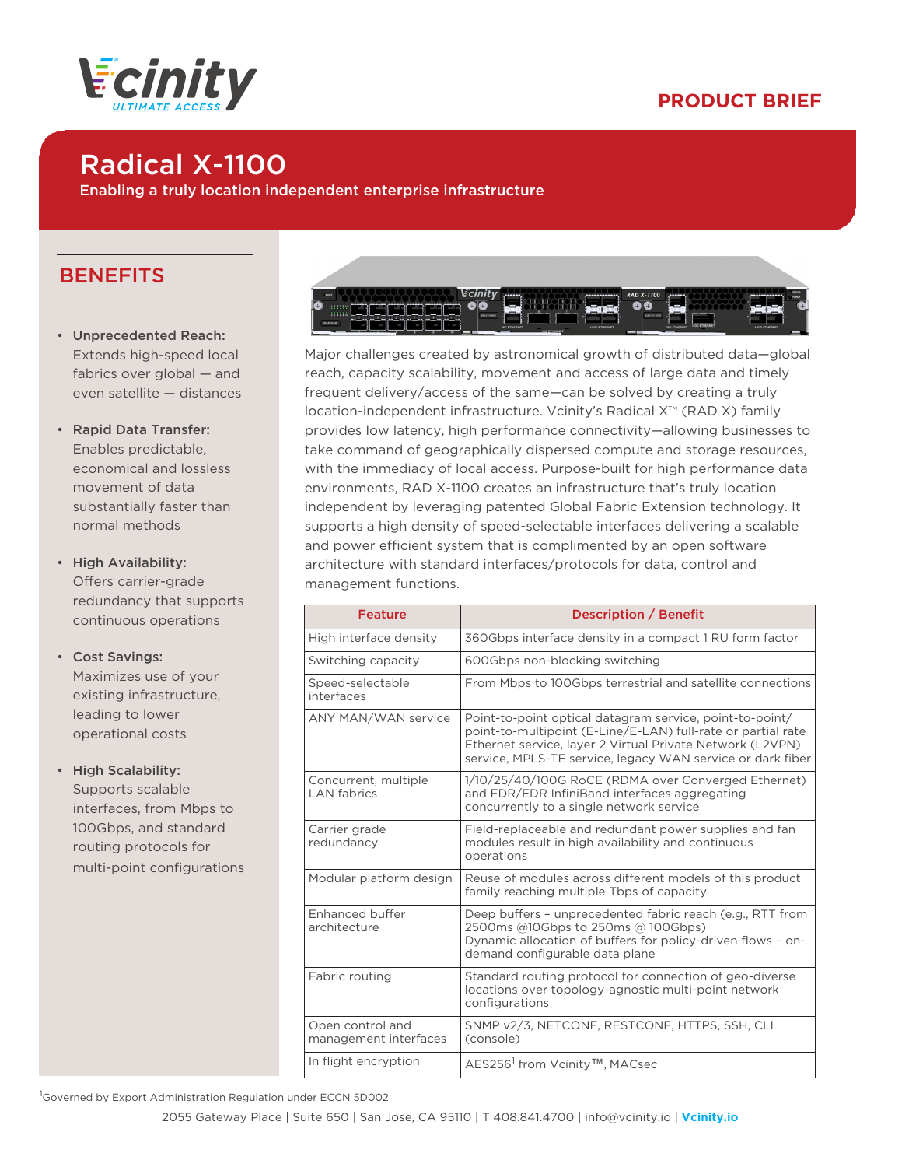



# Radical X-1100

Enabling a truly location independent enterprise infrastructure

### **BENEFITS**

- Unprecedented Reach: Extends high-speed local fabrics over global — and even satellite — distances
- Rapid Data Transfer: Enables predictable, economical and lossless movement of data substantially faster than normal methods
- High Availability: Offers carrier-grade redundancy that supports continuous operations
- Cost Savings: Maximizes use of your existing infrastructure, leading to lower operational costs
- High Scalability: Supports scalable interfaces, from Mbps to 100Gbps, and standard routing protocols for multi-point configurations



Major challenges created by astronomical growth of distributed data—global reach, capacity scalability, movement and access of large data and timely frequent delivery/access of the same—can be solved by creating a truly location-independent infrastructure. Vcinity's Radical X™ (RAD X) family provides low latency, high performance connectivity—allowing businesses to take command of geographically dispersed compute and storage resources, with the immediacy of local access. Purpose-built for high performance data environments, RAD X-1100 creates an infrastructure that's truly location independent by leveraging patented Global Fabric Extension technology. It supports a high density of speed-selectable interfaces delivering a scalable and power efficient system that is complimented by an open software architecture with standard interfaces/protocols for data, control and management functions.

| <b>Feature</b>                             | <b>Description / Benefit</b>                                                                                                                                                                                                                        |  |
|--------------------------------------------|-----------------------------------------------------------------------------------------------------------------------------------------------------------------------------------------------------------------------------------------------------|--|
| High interface density                     | 360Gbps interface density in a compact 1 RU form factor                                                                                                                                                                                             |  |
| Switching capacity                         | 600Gbps non-blocking switching                                                                                                                                                                                                                      |  |
| Speed-selectable<br>interfaces             | From Mbps to 100Gbps terrestrial and satellite connections                                                                                                                                                                                          |  |
| <b>ANY MAN/WAN service</b>                 | Point-to-point optical datagram service, point-to-point/<br>point-to-multipoint (E-Line/E-LAN) full-rate or partial rate<br>Ethernet service, layer 2 Virtual Private Network (L2VPN)<br>service, MPLS-TE service, legacy WAN service or dark fiber |  |
| Concurrent, multiple<br><b>LAN</b> fabrics | 1/10/25/40/100G RoCE (RDMA over Converged Ethernet)<br>and FDR/EDR InfiniBand interfaces aggregating<br>concurrently to a single network service                                                                                                    |  |
| Carrier grade<br>redundancv                | Field-replaceable and redundant power supplies and fan<br>modules result in high availability and continuous<br>operations                                                                                                                          |  |
| Modular platform design                    | Reuse of modules across different models of this product<br>family reaching multiple Tbps of capacity                                                                                                                                               |  |
| Enhanced buffer<br>architecture            | Deep buffers - unprecedented fabric reach (e.g., RTT from<br>2500ms @10Gbps to 250ms @ 100Gbps)<br>Dynamic allocation of buffers for policy-driven flows - on-<br>demand configurable data plane                                                    |  |
| Fabric routing                             | Standard routing protocol for connection of geo-diverse<br>locations over topology-agnostic multi-point network<br>configurations                                                                                                                   |  |
| Open control and<br>management interfaces  | SNMP v2/3, NETCONF, RESTCONF, HTTPS, SSH, CLI<br>(console)                                                                                                                                                                                          |  |
| In flight encryption                       | AES256 <sup>1</sup> from Vcinity <sup>™</sup> , MACsec                                                                                                                                                                                              |  |

<sup>1</sup>Governed by Export Administration Regulation under ECCN 5D002

2055 Gateway Place | Suite 650 | San Jose, CA 95110 | T 408.841.4700 | info@vcinity.io | **Vcinity.io**